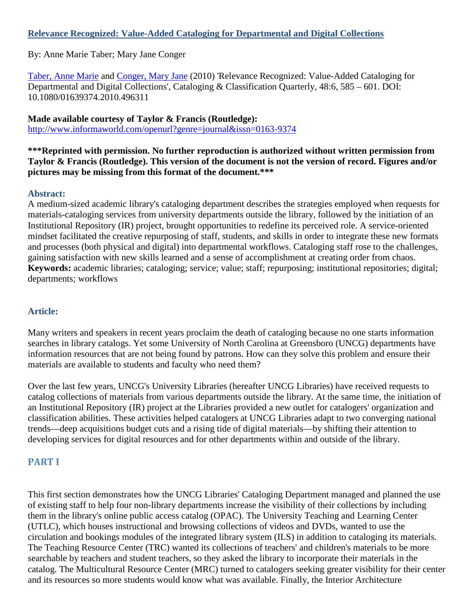#### **Relevance Recognized: Value-Added Cataloging for Departmental and Digital Collections**

By: Anne Marie Taber; Mary Jane Conger

[Taber, Anne Marie](http://libres.uncg.edu/ir/uncg/clist.aspx?id=57) and [Conger, Mary Jane](http://libres.uncg.edu/ir/uncg/clist.aspx?id=38) (2010) 'Relevance Recognized: Value-Added Cataloging for Departmental and Digital Collections', Cataloging & Classification Quarterly, 48:6, 585 – 601. DOI: 10.1080/01639374.2010.496311

**Made available courtesy of Taylor & Francis (Routledge):** <http://www.informaworld.com/openurl?genre=journal&issn=0163-9374>

**\*\*\*Reprinted with permission. No further reproduction is authorized without written permission from Taylor & Francis (Routledge). This version of the document is not the version of record. Figures and/or pictures may be missing from this format of the document.\*\*\***

#### **Abstract:**

A medium-sized academic library's cataloging department describes the strategies employed when requests for materials-cataloging services from university departments outside the library, followed by the initiation of an Institutional Repository (IR) project, brought opportunities to redefine its perceived role. A service-oriented mindset facilitated the creative repurposing of staff, students, and skills in order to integrate these new formats and processes (both physical and digital) into departmental workflows. Cataloging staff rose to the challenges, gaining satisfaction with new skills learned and a sense of accomplishment at creating order from chaos. **Keywords:** academic libraries; cataloging; service; value; staff; repurposing; institutional repositories; digital; departments; workflows

#### **Article:**

Many writers and speakers in recent years proclaim the death of cataloging because no one starts information searches in library catalogs. Yet some University of North Carolina at Greensboro (UNCG) departments have information resources that are not being found by patrons. How can they solve this problem and ensure their materials are available to students and faculty who need them?

Over the last few years, UNCG's University Libraries (hereafter UNCG Libraries) have received requests to catalog collections of materials from various departments outside the library. At the same time, the initiation of an Institutional Repository (IR) project at the Libraries provided a new outlet for catalogers' organization and classification abilities. These activities helped catalogers at UNCG Libraries adapt to two converging national trends—deep acquisitions budget cuts and a rising tide of digital materials—by shifting their attention to developing services for digital resources and for other departments within and outside of the library.

#### **PART I**

This first section demonstrates how the UNCG Libraries' Cataloging Department managed and planned the use of existing staff to help four non-library departments increase the visibility of their collections by including them in the library's online public access catalog (OPAC). The University Teaching and Learning Center (UTLC), which houses instructional and browsing collections of videos and DVDs, wanted to use the circulation and bookings modules of the integrated library system (ILS) in addition to cataloging its materials. The Teaching Resource Center (TRC) wanted its collections of teachers' and children's materials to be more searchable by teachers and student teachers, so they asked the library to incorporate their materials in the catalog. The Multicultural Resource Center (MRC) turned to catalogers seeking greater visibility for their center and its resources so more students would know what was available. Finally, the Interior Architecture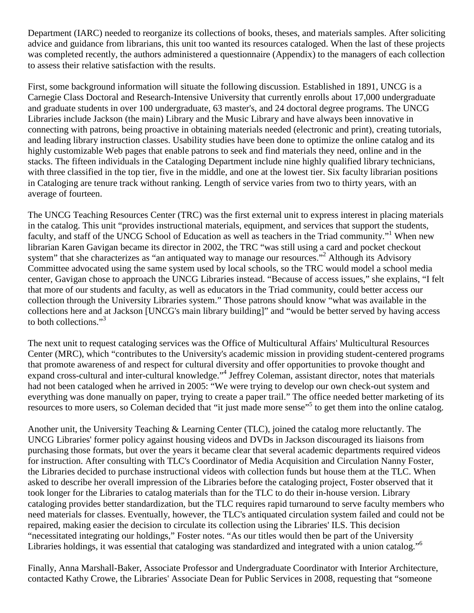Department (IARC) needed to reorganize its collections of books, theses, and materials samples. After soliciting advice and guidance from librarians, this unit too wanted its resources cataloged. When the last of these projects was completed recently, the authors administered a questionnaire (Appendix) to the managers of each collection to assess their relative satisfaction with the results.

First, some background information will situate the following discussion. Established in 1891, UNCG is a Carnegie Class Doctoral and Research-Intensive University that currently enrolls about 17,000 undergraduate and graduate students in over 100 undergraduate, 63 master's, and 24 doctoral degree programs. The UNCG Libraries include Jackson (the main) Library and the Music Library and have always been innovative in connecting with patrons, being proactive in obtaining materials needed (electronic and print), creating tutorials, and leading library instruction classes. Usability studies have been done to optimize the online catalog and its highly customizable Web pages that enable patrons to seek and find materials they need, online and in the stacks. The fifteen individuals in the Cataloging Department include nine highly qualified library technicians, with three classified in the top tier, five in the middle, and one at the lowest tier. Six faculty librarian positions in Cataloging are tenure track without ranking. Length of service varies from two to thirty years, with an average of fourteen.

The UNCG Teaching Resources Center (TRC) was the first external unit to express interest in placing materials in the catalog. This unit "provides instructional materials, equipment, and services that support the students, faculty, and staff of the UNCG School of Education as well as teachers in the Triad community."<sup>1</sup> When new librarian Karen Gavigan became its director in 2002, the TRC "was still using a card and pocket checkout system" that she characterizes as "an antiquated way to manage our resources."<sup>2</sup> Although its Advisory Committee advocated using the same system used by local schools, so the TRC would model a school media center, Gavigan chose to approach the UNCG Libraries instead. "Because of access issues," she explains, "I felt that more of our students and faculty, as well as educators in the Triad community, could better access our collection through the University Libraries system." Those patrons should know "what was available in the collections here and at Jackson [UNCG's main library building]" and "would be better served by having access to both collections."3

The next unit to request cataloging services was the Office of Multicultural Affairs' Multicultural Resources Center (MRC), which "contributes to the University's academic mission in providing student-centered programs that promote awareness of and respect for cultural diversity and offer opportunities to provoke thought and expand cross-cultural and inter-cultural knowledge."<sup>4</sup> Jeffrey Coleman, assistant director, notes that materials had not been cataloged when he arrived in 2005: "We were trying to develop our own check-out system and everything was done manually on paper, trying to create a paper trail." The office needed better marketing of its resources to more users, so Coleman decided that "it just made more sense"5 to get them into the online catalog.

Another unit, the University Teaching & Learning Center (TLC), joined the catalog more reluctantly. The UNCG Libraries' former policy against housing videos and DVDs in Jackson discouraged its liaisons from purchasing those formats, but over the years it became clear that several academic departments required videos for instruction. After consulting with TLC's Coordinator of Media Acquisition and Circulation Nanny Foster, the Libraries decided to purchase instructional videos with collection funds but house them at the TLC. When asked to describe her overall impression of the Libraries before the cataloging project, Foster observed that it took longer for the Libraries to catalog materials than for the TLC to do their in-house version. Library cataloging provides better standardization, but the TLC requires rapid turnaround to serve faculty members who need materials for classes. Eventually, however, the TLC's antiquated circulation system failed and could not be repaired, making easier the decision to circulate its collection using the Libraries' ILS. This decision "necessitated integrating our holdings," Foster notes. "As our titles would then be part of the University Libraries holdings, it was essential that cataloging was standardized and integrated with a union catalog."<sup>6</sup>

Finally, Anna Marshall-Baker, Associate Professor and Undergraduate Coordinator with Interior Architecture, contacted Kathy Crowe, the Libraries' Associate Dean for Public Services in 2008, requesting that "someone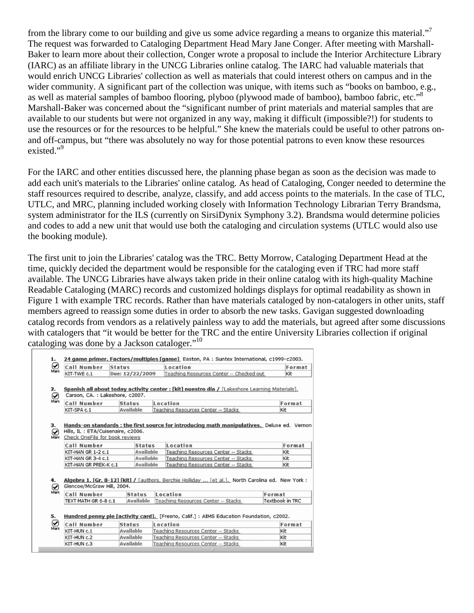from the library come to our building and give us some advice regarding a means to organize this material." The request was forwarded to Cataloging Department Head Mary Jane Conger. After meeting with Marshall-Baker to learn more about their collection, Conger wrote a proposal to include the Interior Architecture Library (IARC) as an affiliate library in the UNCG Libraries online catalog. The IARC had valuable materials that would enrich UNCG Libraries' collection as well as materials that could interest others on campus and in the wider community. A significant part of the collection was unique, with items such as "books on bamboo, e.g., as well as material samples of bamboo flooring, plyboo (plywood made of bamboo), bamboo fabric, etc."8 Marshall-Baker was concerned about the "significant number of print materials and material samples that are available to our students but were not organized in any way, making it difficult (impossible?!) for students to use the resources or for the resources to be helpful." She knew the materials could be useful to other patrons onand off-campus, but "there was absolutely no way for those potential patrons to even know these resources existed."<sup>9</sup>

For the IARC and other entities discussed here, the planning phase began as soon as the decision was made to add each unit's materials to the Libraries' online catalog. As head of Cataloging, Conger needed to determine the staff resources required to describe, analyze, classify, and add access points to the materials. In the case of TLC, UTLC, and MRC, planning included working closely with Information Technology Librarian Terry Brandsma, system administrator for the ILS (currently on SirsiDynix Symphony 3.2). Brandsma would determine policies and codes to add a new unit that would use both the cataloging and circulation systems (UTLC would also use the booking module).

The first unit to join the Libraries' catalog was the TRC. Betty Morrow, Cataloging Department Head at the time, quickly decided the department would be responsible for the cataloging even if TRC had more staff available. The UNCG Libraries have always taken pride in their online catalog with its high-quality Machine Readable Cataloging (MARC) records and customized holdings displays for optimal readability as shown in Figure 1 with example TRC records. Rather than have materials cataloged by non-catalogers in other units, staff members agreed to reassign some duties in order to absorb the new tasks. Gavigan suggested downloading catalog records from vendors as a relatively painless way to add the materials, but agreed after some discussions with catalogers that "it would be better for the TRC and the entire University Libraries collection if original [cataloging was done by a Jackson cataloger."](http://www.informaworld.com/ampp/image?path=/792303976/926162852/wccq_a_496311_o_f0001g.png)<sup>10</sup>

| Call Number                                                       | <b>Status</b>                     |                                   | Location                                                                                                                                             | Format                           |
|-------------------------------------------------------------------|-----------------------------------|-----------------------------------|------------------------------------------------------------------------------------------------------------------------------------------------------|----------------------------------|
| KIT-TWE c.1                                                       | Due: 12/22/2009                   |                                   | Teaching Resources Center -- Checked out                                                                                                             | Kit                              |
| Carson, CA. : Lakeshore, c2007.                                   |                                   |                                   | Spanish all about today activity center : [kit] nuestro día / [Lakeshore Learning Materials].                                                        |                                  |
| Call Number                                                       | <b>Status</b>                     |                                   | Location                                                                                                                                             | Format                           |
| KIT-SPA c.1                                                       | <b>Available</b>                  |                                   | Teaching Resources Center -- Stacks                                                                                                                  | Kit                              |
| KIT-HAN GR 1-2 c.1                                                |                                   | Available                         | Teaching Resources Center -- Stacks                                                                                                                  | Kit                              |
| Call Number                                                       |                                   | <b>Status</b>                     | Location                                                                                                                                             | Format                           |
|                                                                   |                                   |                                   |                                                                                                                                                      |                                  |
| KIT-HAN GR 3-4 c.1                                                |                                   | <b>Available</b>                  | Teaching Resources Center -- Stacks                                                                                                                  | Kit                              |
| KIT-HAN GR PREK-K c.1                                             |                                   | Available                         | Teaching Resources Center -- Stacks                                                                                                                  | Kit                              |
|                                                                   |                                   |                                   |                                                                                                                                                      |                                  |
| Glencoe/McGraw Hill, 2004.<br>Call Number<br>TEXT MATH GR 6-8 c.1 |                                   | <b>Status</b><br><b>Available</b> | Algebra 1. [Gr. 8-12] [kit] / [authors, Berchie Holliday  [et al.]. North Carolina ed. New York :<br>Location<br>Teaching Resources Center -- Stacks | Format<br><b>Textbook in TRC</b> |
| Call Number<br>KIT-HUN c.1                                        | <b>Status</b><br><b>Available</b> |                                   | Hundred penny pie [activity card]. [Fresno, Calif.] : AIMS Education Foundation, c2002.<br>Location<br>Teaching Resources Center -- Stacks           | Kit                              |
| KIT-HUN c.2                                                       | <b>Available</b>                  |                                   | Teaching Resources Center -- Stacks                                                                                                                  | Format<br>Kit                    |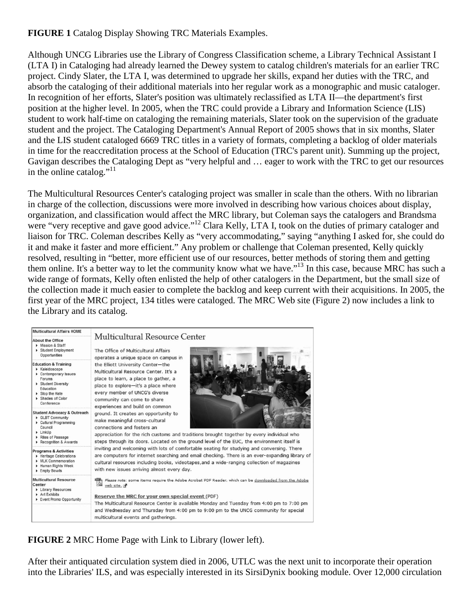### **FIGURE 1** Catalog Display Showing TRC Materials Examples.

Although UNCG Libraries use the Library of Congress Classification scheme, a Library Technical Assistant I (LTA I) in Cataloging had already learned the Dewey system to catalog children's materials for an earlier TRC project. Cindy Slater, the LTA I, was determined to upgrade her skills, expand her duties with the TRC, and absorb the cataloging of their additional materials into her regular work as a monographic and music cataloger. In recognition of her efforts, Slater's position was ultimately reclassified as LTA II—the department's first position at the higher level. In 2005, when the TRC could provide a Library and Information Science (LIS) student to work half-time on cataloging the remaining materials, Slater took on the supervision of the graduate student and the project. The Cataloging Department's Annual Report of 2005 shows that in six months, Slater and the LIS student cataloged 6669 TRC titles in a variety of formats, completing a backlog of older materials in time for the reaccreditation process at the School of Education (TRC's parent unit). Summing up the project, Gavigan describes the Cataloging Dept as "very helpful and … eager to work with the TRC to get our resources in the online catalog." $^{11}$ 

The Multicultural Resources Center's cataloging project was smaller in scale than the others. With no librarian in charge of the collection, discussions were more involved in describing how various choices about display, organization, and classification would affect the MRC library, but Coleman says the catalogers and Brandsma were "very receptive and gave good advice."<sup>12</sup> Clara Kelly, LTA I, took on the duties of primary cataloger and liaison for TRC. Coleman describes Kelly as "very accommodating," saying "anything I asked for, she could do it and make it faster and more efficient." Any problem or challenge that Coleman presented, Kelly quickly resolved, resulting in "better, more efficient use of our resources, better methods of storing them and getting them online. It's a better way to let the community know what we have."13 In this case, because MRC has such a wide range of formats, Kelly often enlisted the help of other catalogers in the Department, but the small size of the collection made it much easier to complete the backlog and keep current with their acquisitions. In 2005, the first year of the MRC project, 134 titles were cataloged. The MRC Web site (Figure 2) now includes a link to the Library and its catalog.

| <b>Multicultural Affairs HOME</b>                                                                                                                                        |                                                                                                                                                                                                                                                                                                                                          |
|--------------------------------------------------------------------------------------------------------------------------------------------------------------------------|------------------------------------------------------------------------------------------------------------------------------------------------------------------------------------------------------------------------------------------------------------------------------------------------------------------------------------------|
| About the Office<br>Mission & Staff<br>▶ Student Employment<br>Opportunities                                                                                             | Multicultural Resource Center<br>The Office of Multicultural Affairs<br>operates a unique space on campus in                                                                                                                                                                                                                             |
| <b>Education &amp; Training</b><br>▶ Kaleidoscope<br>Contemporary Issues<br>Forums<br>Student Diversity<br>Education<br>Stop the Hate<br>> Shades of Color<br>Conference | the Elliott University Center-the<br>Multicultural Resource Center, It's a<br>place to learn, a place to gather, a<br>place to explore-it's a place where<br>every member of UNCG's diverse<br>community can come to share<br>experiences and build on common                                                                            |
| <b>Student Advocacy &amp; Outreach</b><br>GLBT Community<br>Cultural Programming<br>Council<br>$\blacktriangleright$ LinkUp<br>Rites of Passage<br>Recognition & Awards  | ground. It creates an opportunity to<br>make meaningful cross-cultural<br>connections and fosters an<br>appreciation for the rich customs and traditions brought together by every individual who<br>steps through its doors. Located on the ground level of the EUC, the environment itself is                                          |
| <b>Programs &amp; Activities</b><br>Heritage Celebrations<br>MLK Commemoration<br>Human Rights Week<br>Empty Bowls                                                       | inviting and welcoming with lots of comfortable seating for studying and conversing. There<br>are computers for internet searching and email checking. There is an ever-expanding library of<br>cultural resources including books, videotapes, and a wide-ranging collection of magazines<br>with new issues arriving almost every day. |
| Multicultural Resource<br>Center<br>Library Resources<br>$Art$ Exhibits<br>Event Promo Opportunity                                                                       | Please note: some items require the Adobe Acrobat PDF Reader, which can be downloaded from the Adobe<br>web site.<br>Reserve the MRC for your own special event (PDF)<br>The Multicultural Resource Center is available Monday and Tuesday from 4:00 pm to 7:00 pm                                                                       |
|                                                                                                                                                                          | and Wednesday and Thursday from 4:00 pm to 9:00 pm to the UNCG community for special<br>multicultural events and gatherings.                                                                                                                                                                                                             |

**FIGURE 2** MRC Home Page with Link to Library (lower left).

After their antiquated circulation system died in 2006, UTLC was the next unit to incorporate their operation into the Libraries' ILS, and was especially interested in its SirsiDynix booking module. Over 12,000 circulation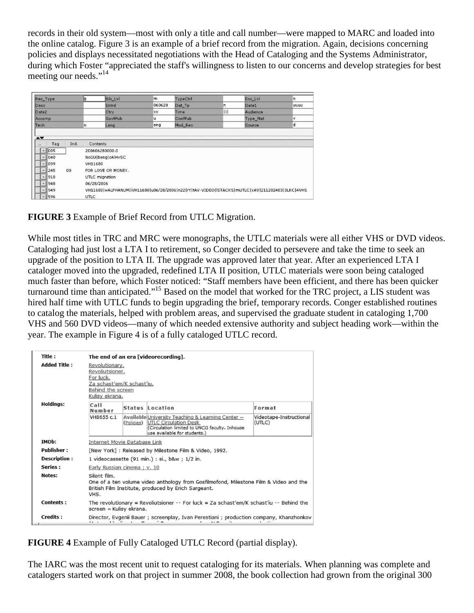records in their old system—most with only a title and call number—were mapped to MARC and loaded into the online catalog. Figure 3 is an example of a brief record from the migration. Again, decisions concerning policies and displays necessitated negotiations with the Head of Cataloging and the Systems Administrator, during which Foster "appreciated the staff's willingness to listen to our concerns and develop strategies for best meeting our needs."<sup>14</sup>

| Rec Type                              |         | <b>Bib Lvl</b>                                                          | m      | <b>TypeCtrl</b> |   | Enc_Lvl                                                                                       | n    |
|---------------------------------------|---------|-------------------------------------------------------------------------|--------|-----------------|---|-----------------------------------------------------------------------------------------------|------|
| Desc                                  |         | Entrd                                                                   | 060628 | Dat Tp          | n | Date1                                                                                         | uuuu |
| Date2                                 |         | Ctry                                                                    | XX     | Time            | Ш | Audience                                                                                      |      |
| Accomp                                |         | GovtPub                                                                 | u      | ConfPub         |   | <b>Type Mat</b>                                                                               | v    |
| Tech                                  | u       | Lang                                                                    | eng    | Mod Rec         |   | <b>Source</b>                                                                                 | d    |
| 040<br>099<br>00<br>245<br>910<br>948 | VH11680 | NcGU beng cAlHySC<br>FOR LOVE OR MONEY.<br>UTLC migration<br>06/28/2006 |        |                 |   |                                                                                               |      |
|                                       |         |                                                                         |        |                 |   | VH11680 wALPHANUM iVH11680 u06/28/2006 n22 rY tAV-VIDEO ISTACKS mUTLC xAV 211202403 3LRC 4VHS |      |

**FIGURE 3** Example of Brief Record from UTLC Migration.

While most titles in TRC and MRC were monographs, the UTLC materials were all either VHS or DVD videos. Cataloging had just lost a LTA I to retirement, so Conger decided to persevere and take the time to seek an upgrade of the position to LTA II. The upgrade was approved later that year. After an experienced LTA I cataloger moved into the upgraded, redefined LTA II position, UTLC materials were soon being cataloged much faster than before, which Foster noticed: "Staff members have been efficient, and there has been quicker turnaround time than anticipated."<sup>15</sup> Based on the model that worked for the TRC project, a LIS student was hired half time with UTLC funds to begin upgrading the brief, temporary records. Conger established routines to catalog the materials, helped with problem areas, and supervised the graduate student in cataloging 1,700 VHS and 560 DVD videos—many of which needed extensive authority and subject heading work—within the year. The example in Figure 4 is of a fully cataloged UTLC record.

| Title:              |                                                                                                                    | The end of an era [videorecording]. |                                                                                                                                                              |                                   |  |  |
|---------------------|--------------------------------------------------------------------------------------------------------------------|-------------------------------------|--------------------------------------------------------------------------------------------------------------------------------------------------------------|-----------------------------------|--|--|
| <b>Added Title:</b> | Revolutionary.<br>Revoliutsioner.<br>For luck.<br>Za schast'em/K schast'iu.<br>Behind the screen<br>Kulisy ekrana. |                                     |                                                                                                                                                              |                                   |  |  |
| <b>Holdings:</b>    | Call<br>Number                                                                                                     |                                     | Status Location                                                                                                                                              | Format                            |  |  |
|                     | VH8655 c.1                                                                                                         | (Policies)                          | Available University Teaching & Learning Center --<br>UTLC Circulation Desk<br>(Circulation limited to UNCG faculty, Inhouse<br>use available for students.) | Videotape-Instructional<br>(UTLC) |  |  |
| <b>IMDb:</b>        | Internet Movie Database Link                                                                                       |                                     |                                                                                                                                                              |                                   |  |  |
| <b>Publisher:</b>   |                                                                                                                    |                                     | [New York]: Released by Milestone Film & Video, 1992.                                                                                                        |                                   |  |  |
| <b>Description:</b> | 1 videocassette (91 min.) : si., b&w ; 1/2 in.                                                                     |                                     |                                                                                                                                                              |                                   |  |  |
| Series:             | Early Russian cinema; v. 10                                                                                        |                                     |                                                                                                                                                              |                                   |  |  |
| Notes:              | Silent film.<br>VHS.                                                                                               |                                     | One of a ten volume video anthology from Gosfilmofond, Milestone Film & Video and the<br>British Film Institute, produced by Erich Sargeant.                 |                                   |  |  |
| Contents:           | screen = Kulisy ekrana.                                                                                            |                                     | The revolutionary = Revoliutsioner -- For luck = Za schast'em/K schast'iu -- Behind the                                                                      |                                   |  |  |
| <b>Credits:</b>     | $\lambda$                                                                                                          |                                     | Director, Evgenii Bauer ; screenplay, Ivan Perestiani ; production company, Khanzhonkov                                                                      |                                   |  |  |

**FIGURE 4** Example of Fully Cataloged UTLC Record (partial display).

The IARC was the most recent unit to request cataloging for its materials. When planning was complete and catalogers started work on that project in summer 2008, the book collection had grown from the original 300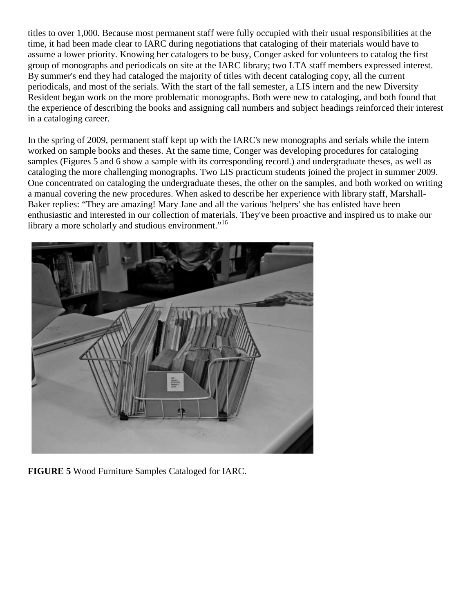titles to over 1,000. Because most permanent staff were fully occupied with their usual responsibilities at the time, it had been made clear to IARC during negotiations that cataloging of their materials would have to assume a lower priority. Knowing her catalogers to be busy, Conger asked for volunteers to catalog the first group of monographs and periodicals on site at the IARC library; two LTA staff members expressed interest. By summer's end they had cataloged the majority of titles with decent cataloging copy, all the current periodicals, and most of the serials. With the start of the fall semester, a LIS intern and the new Diversity Resident began work on the more problematic monographs. Both were new to cataloging, and both found that the experience of describing the books and assigning call numbers and subject headings reinforced their interest in a cataloging career.

In the spring of 2009, permanent staff kept up with the IARC's new monographs and serials while the intern worked on sample books and theses. At the same time, Conger was developing procedures for cataloging samples (Figures 5 and 6 show a sample with its corresponding record.) and undergraduate theses, as well as cataloging the more challenging monographs. Two LIS practicum students joined the project in summer 2009. One concentrated on cataloging the undergraduate theses, the other on the samples, and both worked on writing a manual covering the new procedures. When asked to describe her experience with library staff, Marshall-Baker replies: "They are amazing! Mary Jane and all the various 'helpers' she has enlisted have been enthusiastic and interested in our collection of materials. They've been proactive and inspired us to make our library a more scholarly and studious environment."<sup>16</sup>



**FIGURE 5** Wood Furniture Samples Cataloged for IARC.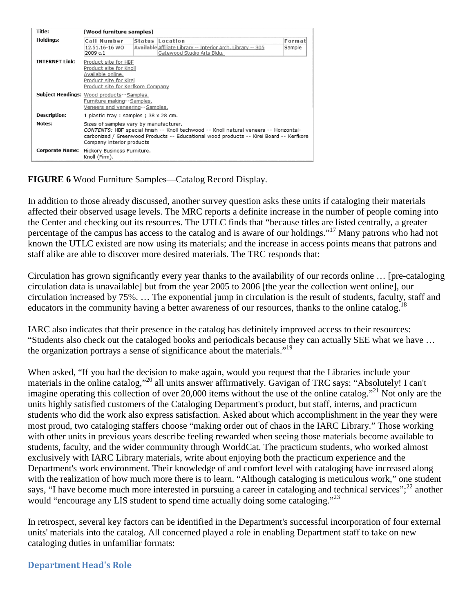| Title:                 | [Wood furniture samples]                                                                                                           |                                                                                                                                                                                   |                  |
|------------------------|------------------------------------------------------------------------------------------------------------------------------------|-----------------------------------------------------------------------------------------------------------------------------------------------------------------------------------|------------------|
| Holdings:              | Call Number<br>12.51.16-16 WO<br>2009 c.1                                                                                          | Status Location<br>Available Affiliate Library -- Interior Arch. Library -- 305<br>Gatewood Studio Arts Bldg.                                                                     | Format<br>Sample |
| <b>INTERNET Link:</b>  | Product site for HBF<br>Product site for Knoll<br>Available online.<br>Product site for Kirei<br>Product site for Kerfkore Company |                                                                                                                                                                                   |                  |
|                        | Subject Headings: Wood products--Samples.<br>Furniture making--Samples.<br>Veneers and veneering--Samples.                         |                                                                                                                                                                                   |                  |
| <b>Description:</b>    | 1 plastic tray : samples ; 38 x 28 cm.                                                                                             |                                                                                                                                                                                   |                  |
| Notes:                 | Sizes of samples vary by manufacturer.<br>Company interior products                                                                | CONTENTS: HBF special finish -- Knoll techwood -- Knoll natural veneers -- Horizontal-<br>carbonized / Greenwood Products -- Educational wood products -- Kirei Board -- Kerfkore |                  |
| <b>Corporate Name:</b> | Hickory Business Furniture.<br>Knoll (Firm).                                                                                       |                                                                                                                                                                                   |                  |

**FIGURE 6** Wood Furniture Samples—Catalog Record Display.

In addition to those already discussed, another survey question asks these units if cataloging their materials affected their observed usage levels. The MRC reports a definite increase in the number of people coming into the Center and checking out its resources. The UTLC finds that "because titles are listed centrally, a greater percentage of the campus has access to the catalog and is aware of our holdings."17 Many patrons who had not known the UTLC existed are now using its materials; and the increase in access points means that patrons and staff alike are able to discover more desired materials. The TRC responds that:

Circulation has grown significantly every year thanks to the availability of our records online … [pre-cataloging circulation data is unavailable] but from the year 2005 to 2006 [the year the collection went online], our circulation increased by 75%. … The exponential jump in circulation is the result of students, faculty, staff and educators in the community having a better awareness of our resources, thanks to the online catalog.<sup>1</sup>

IARC also indicates that their presence in the catalog has definitely improved access to their resources: "Students also check out the cataloged books and periodicals because they can actually SEE what we have … the organization portrays a sense of significance about the materials."<sup>19</sup>

When asked, "If you had the decision to make again, would you request that the Libraries include your materials in the online catalog,"20 all units answer affirmatively. Gavigan of TRC says: "Absolutely! I can't imagine operating this collection of over 20,000 items without the use of the online catalog."<sup>21</sup> Not only are the units highly satisfied customers of the Cataloging Department's product, but staff, interns, and practicum students who did the work also express satisfaction. Asked about which accomplishment in the year they were most proud, two cataloging staffers choose "making order out of chaos in the IARC Library." Those working with other units in previous years describe feeling rewarded when seeing those materials become available to students, faculty, and the wider community through WorldCat. The practicum students, who worked almost exclusively with IARC Library materials, write about enjoying both the practicum experience and the Department's work environment. Their knowledge of and comfort level with cataloging have increased along with the realization of how much more there is to learn. "Although cataloging is meticulous work," one student says, "I have become much more interested in pursuing a career in cataloging and technical services";<sup>22</sup> another would "encourage any LIS student to spend time actually doing some cataloging."<sup>23</sup>

In retrospect, several key factors can be identified in the Department's successful incorporation of four external units' materials into the catalog. All concerned played a role in enabling Department staff to take on new cataloging duties in unfamiliar formats:

#### **Department Head's Role**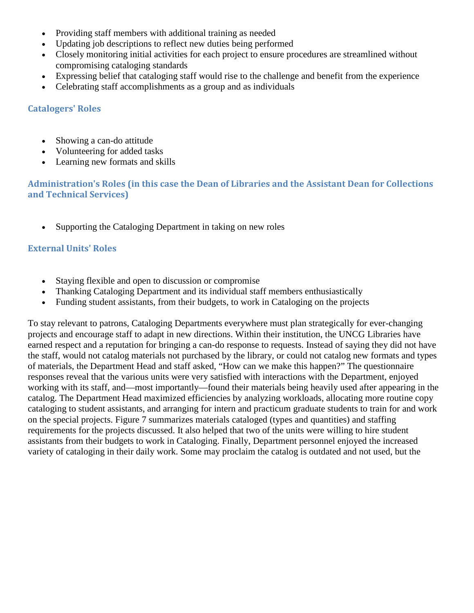- Providing staff members with additional training as needed
- Updating job descriptions to reflect new duties being performed
- Closely monitoring initial activities for each project to ensure procedures are streamlined without compromising cataloging standards
- Expressing belief that cataloging staff would rise to the challenge and benefit from the experience
- Celebrating staff accomplishments as a group and as individuals

### **Catalogers' Roles**

- Showing a can-do attitude
- Volunteering for added tasks
- Learning new formats and skills

## **Administration's Roles (in this case the Dean of Libraries and the Assistant Dean for Collections and Technical Services)**

• Supporting the Cataloging Department in taking on new roles

## **External Units' Roles**

- Staying flexible and open to discussion or compromise
- Thanking Cataloging Department and its individual staff members enthusiastically
- Funding student assistants, from their budgets, to work in Cataloging on the projects

To stay relevant to patrons, Cataloging Departments everywhere must plan strategically for ever-changing projects and encourage staff to adapt in new directions. Within their institution, the UNCG Libraries have earned respect and a reputation for bringing a can-do response to requests. Instead of saying they did not have the staff, would not catalog materials not purchased by the library, or could not catalog new formats and types of materials, the Department Head and staff asked, "How can we make this happen?" The questionnaire responses reveal that the various units were very satisfied with interactions with the Department, enjoyed working with its staff, and—most importantly—found their materials being heavily used after appearing in the catalog. The Department Head maximized efficiencies by analyzing workloads, allocating more routine copy cataloging to student assistants, and arranging for intern and practicum graduate students to train for and work on the special projects. Figure 7 summarizes materials cataloged (types and quantities) and staffing requirements for the projects discussed. It also helped that two of the units were willing to hire student assistants from their budgets to work in Cataloging. Finally, Department personnel enjoyed the increased variety of cataloging in their daily work. Some may proclaim the catalog is outdated and not used, but the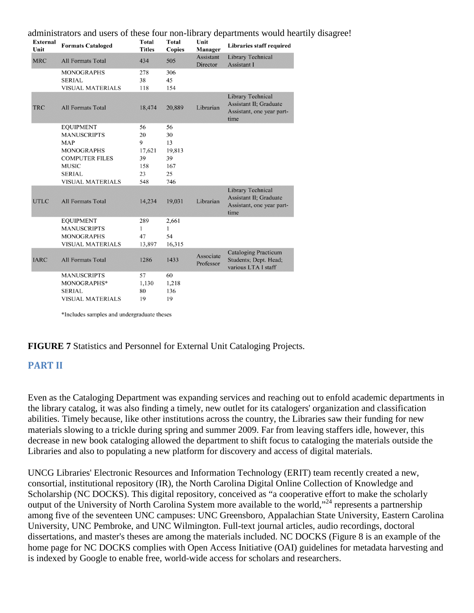| <b>External</b><br>Unit | <b>Formats Cataloged</b> | <b>Total</b><br><b>Titles</b> | <b>Total</b><br>Copies | Unit<br>Manager        | Libraries staff required                                                                       |
|-------------------------|--------------------------|-------------------------------|------------------------|------------------------|------------------------------------------------------------------------------------------------|
| <b>MRC</b>              | <b>All Formats Total</b> | 434                           | 505                    | Assistant<br>Director  | <b>Library Technical</b><br><b>Assistant I</b>                                                 |
|                         | <b>MONOGRAPHS</b>        | 278                           | 306                    |                        |                                                                                                |
|                         | <b>SERIAL</b>            | 38                            | 45                     |                        |                                                                                                |
|                         | <b>VISUAL MATERIALS</b>  | 118                           | 154                    |                        |                                                                                                |
| <b>TRC</b>              | <b>All Formats Total</b> | 18,474                        | 20,889                 | Librarian              | <b>Library Technical</b><br><b>Assistant II; Graduate</b><br>Assistant, one year part-<br>time |
|                         | <b>EQUIPMENT</b>         | 56                            | 56                     |                        |                                                                                                |
|                         | <b>MANUSCRIPTS</b>       | 20                            | 30                     |                        |                                                                                                |
|                         | <b>MAP</b>               | 9                             | 13                     |                        |                                                                                                |
|                         | <b>MONOGRAPHS</b>        | 17,621                        | 19,813                 |                        |                                                                                                |
|                         | <b>COMPUTER FILES</b>    | 39                            | 39                     |                        |                                                                                                |
|                         | <b>MUSIC</b>             | 158                           | 167                    |                        |                                                                                                |
|                         | <b>SERIAL</b>            | 23                            | 25                     |                        |                                                                                                |
|                         | <b>VISUAL MATERIALS</b>  | 548                           | 746                    |                        |                                                                                                |
| <b>UTLC</b>             | <b>All Formats Total</b> | 14,234                        | 19,031                 | Librarian              | <b>Library Technical</b><br><b>Assistant II; Graduate</b>                                      |
|                         |                          |                               |                        |                        | Assistant, one year part-<br>time                                                              |
|                         | <b>EQUIPMENT</b>         | 289                           | 2,661                  |                        |                                                                                                |
|                         | <b>MANUSCRIPTS</b>       | 1                             | 1                      |                        |                                                                                                |
|                         | <b>MONOGRAPHS</b>        | 47                            | 54                     |                        |                                                                                                |
|                         | <b>VISUAL MATERIALS</b>  | 13,897                        | 16,315                 |                        |                                                                                                |
| <b>IARC</b>             | <b>All Formats Total</b> | 1286                          | 1433                   | Associate<br>Professor | <b>Cataloging Practicum</b><br>Students; Dept. Head;<br>various LTA I staff                    |
|                         | <b>MANUSCRIPTS</b>       | 57                            | 60                     |                        |                                                                                                |
|                         | MONOGRAPHS*              | 1,130                         | 1,218                  |                        |                                                                                                |
|                         | <b>SERIAL</b>            | 80                            | 136                    |                        |                                                                                                |
|                         | <b>VISUAL MATERIALS</b>  | 19                            | 19                     |                        |                                                                                                |
|                         |                          |                               |                        |                        |                                                                                                |

administrators and users of these four non-library departments would heartily disagree!

\*Includes samples and undergraduate theses

**FIGURE 7** Statistics and Personnel for External Unit Cataloging Projects.

## **PART II**

Even as the Cataloging Department was expanding services and reaching out to enfold academic departments in the library catalog, it was also finding a timely, new outlet for its catalogers' organization and classification abilities. Timely because, like other institutions across the country, the Libraries saw their funding for new materials slowing to a trickle during spring and summer 2009. Far from leaving staffers idle, however, this decrease in new book cataloging allowed the department to shift focus to cataloging the materials outside the Libraries and also to populating a new platform for discovery and access of digital materials.

UNCG Libraries' Electronic Resources and Information Technology (ERIT) team recently created a new, consortial, institutional repository (IR), the North Carolina Digital Online Collection of Knowledge and Scholarship (NC DOCKS). This digital repository, conceived as "a cooperative effort to make the scholarly output of the University of North Carolina System more available to the world,"24 represents a partnership among five of the seventeen UNC campuses: UNC Greensboro, Appalachian State University, Eastern Carolina University, UNC Pembroke, and UNC Wilmington. Full-text journal articles, audio recordings, doctoral dissertations, and master's theses are among the materials included. NC DOCKS (Figure 8 is an example of the home page for NC DOCKS complies with Open Access Initiative (OAI) guidelines for metadata harvesting and is indexed by Google to enable free, world-wide access for scholars and researchers.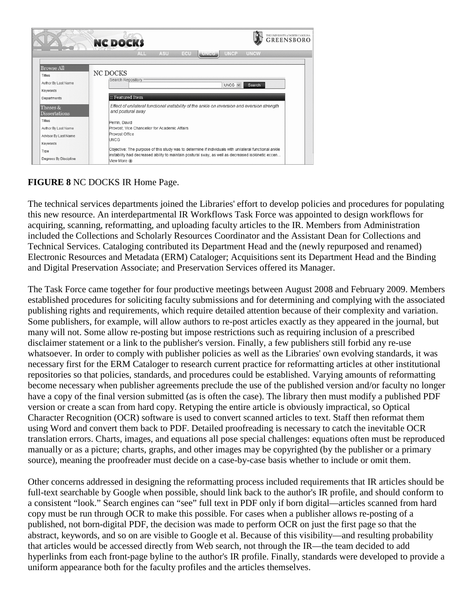

## **FIGURE 8** NC DOCKS IR Home Page.

The technical services departments joined the Libraries' effort to develop policies and procedures for populating this new resource. An interdepartmental IR Workflows Task Force was appointed to design workflows for acquiring, scanning, reformatting, and uploading faculty articles to the IR. Members from Administration included the Collections and Scholarly Resources Coordinator and the Assistant Dean for Collections and Technical Services. Cataloging contributed its Department Head and the (newly repurposed and renamed) Electronic Resources and Metadata (ERM) Cataloger; Acquisitions sent its Department Head and the Binding and Digital Preservation Associate; and Preservation Services offered its Manager.

The Task Force came together for four productive meetings between August 2008 and February 2009. Members established procedures for soliciting faculty submissions and for determining and complying with the associated publishing rights and requirements, which require detailed attention because of their complexity and variation. Some publishers, for example, will allow authors to re-post articles exactly as they appeared in the journal, but many will not. Some allow re-posting but impose restrictions such as requiring inclusion of a prescribed disclaimer statement or a link to the publisher's version. Finally, a few publishers still forbid any re-use whatsoever. In order to comply with publisher policies as well as the Libraries' own evolving standards, it was necessary first for the ERM Cataloger to research current practice for reformatting articles at other institutional repositories so that policies, standards, and procedures could be established. Varying amounts of reformatting become necessary when publisher agreements preclude the use of the published version and/or faculty no longer have a copy of the final version submitted (as is often the case). The library then must modify a published PDF version or create a scan from hard copy. Retyping the entire article is obviously impractical, so Optical Character Recognition (OCR) software is used to convert scanned articles to text. Staff then reformat them using Word and convert them back to PDF. Detailed proofreading is necessary to catch the inevitable OCR translation errors. Charts, images, and equations all pose special challenges: equations often must be reproduced manually or as a picture; charts, graphs, and other images may be copyrighted (by the publisher or a primary source), meaning the proofreader must decide on a case-by-case basis whether to include or omit them.

Other concerns addressed in designing the reformatting process included requirements that IR articles should be full-text searchable by Google when possible, should link back to the author's IR profile, and should conform to a consistent "look." Search engines can "see" full text in PDF only if born digital—articles scanned from hard copy must be run through OCR to make this possible. For cases when a publisher allows re-posting of a published, not born-digital PDF, the decision was made to perform OCR on just the first page so that the abstract, keywords, and so on are visible to Google et al. Because of this visibility—and resulting probability that articles would be accessed directly from Web search, not through the IR—the team decided to add hyperlinks from each front-page byline to the author's IR profile. Finally, standards were developed to provide a uniform appearance both for the faculty profiles and the articles themselves.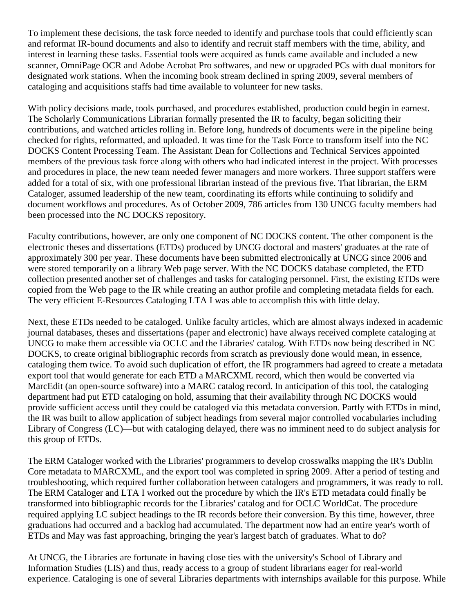To implement these decisions, the task force needed to identify and purchase tools that could efficiently scan and reformat IR-bound documents and also to identify and recruit staff members with the time, ability, and interest in learning these tasks. Essential tools were acquired as funds came available and included a new scanner, OmniPage OCR and Adobe Acrobat Pro softwares, and new or upgraded PCs with dual monitors for designated work stations. When the incoming book stream declined in spring 2009, several members of cataloging and acquisitions staffs had time available to volunteer for new tasks.

With policy decisions made, tools purchased, and procedures established, production could begin in earnest. The Scholarly Communications Librarian formally presented the IR to faculty, began soliciting their contributions, and watched articles rolling in. Before long, hundreds of documents were in the pipeline being checked for rights, reformatted, and uploaded. It was time for the Task Force to transform itself into the NC DOCKS Content Processing Team. The Assistant Dean for Collections and Technical Services appointed members of the previous task force along with others who had indicated interest in the project. With processes and procedures in place, the new team needed fewer managers and more workers. Three support staffers were added for a total of six, with one professional librarian instead of the previous five. That librarian, the ERM Cataloger, assumed leadership of the new team, coordinating its efforts while continuing to solidify and document workflows and procedures. As of October 2009, 786 articles from 130 UNCG faculty members had been processed into the NC DOCKS repository.

Faculty contributions, however, are only one component of NC DOCKS content. The other component is the electronic theses and dissertations (ETDs) produced by UNCG doctoral and masters' graduates at the rate of approximately 300 per year. These documents have been submitted electronically at UNCG since 2006 and were stored temporarily on a library Web page server. With the NC DOCKS database completed, the ETD collection presented another set of challenges and tasks for cataloging personnel. First, the existing ETDs were copied from the Web page to the IR while creating an author profile and completing metadata fields for each. The very efficient E-Resources Cataloging LTA I was able to accomplish this with little delay.

Next, these ETDs needed to be cataloged. Unlike faculty articles, which are almost always indexed in academic journal databases, theses and dissertations (paper and electronic) have always received complete cataloging at UNCG to make them accessible via OCLC and the Libraries' catalog. With ETDs now being described in NC DOCKS, to create original bibliographic records from scratch as previously done would mean, in essence, cataloging them twice. To avoid such duplication of effort, the IR programmers had agreed to create a metadata export tool that would generate for each ETD a MARCXML record, which then would be converted via MarcEdit (an open-source software) into a MARC catalog record. In anticipation of this tool, the cataloging department had put ETD cataloging on hold, assuming that their availability through NC DOCKS would provide sufficient access until they could be cataloged via this metadata conversion. Partly with ETDs in mind, the IR was built to allow application of subject headings from several major controlled vocabularies including Library of Congress (LC)—but with cataloging delayed, there was no imminent need to do subject analysis for this group of ETDs.

The ERM Cataloger worked with the Libraries' programmers to develop crosswalks mapping the IR's Dublin Core metadata to MARCXML, and the export tool was completed in spring 2009. After a period of testing and troubleshooting, which required further collaboration between catalogers and programmers, it was ready to roll. The ERM Cataloger and LTA I worked out the procedure by which the IR's ETD metadata could finally be transformed into bibliographic records for the Libraries' catalog and for OCLC WorldCat. The procedure required applying LC subject headings to the IR records before their conversion. By this time, however, three graduations had occurred and a backlog had accumulated. The department now had an entire year's worth of ETDs and May was fast approaching, bringing the year's largest batch of graduates. What to do?

At UNCG, the Libraries are fortunate in having close ties with the university's School of Library and Information Studies (LIS) and thus, ready access to a group of student librarians eager for real-world experience. Cataloging is one of several Libraries departments with internships available for this purpose. While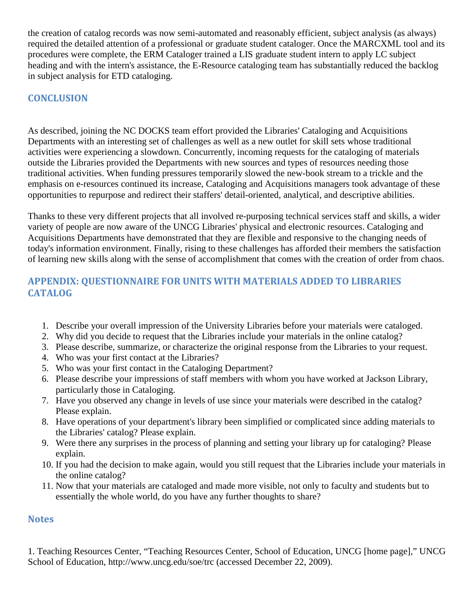the creation of catalog records was now semi-automated and reasonably efficient, subject analysis (as always) required the detailed attention of a professional or graduate student cataloger. Once the MARCXML tool and its procedures were complete, the ERM Cataloger trained a LIS graduate student intern to apply LC subject heading and with the intern's assistance, the E-Resource cataloging team has substantially reduced the backlog in subject analysis for ETD cataloging.

# **CONCLUSION**

As described, joining the NC DOCKS team effort provided the Libraries' Cataloging and Acquisitions Departments with an interesting set of challenges as well as a new outlet for skill sets whose traditional activities were experiencing a slowdown. Concurrently, incoming requests for the cataloging of materials outside the Libraries provided the Departments with new sources and types of resources needing those traditional activities. When funding pressures temporarily slowed the new-book stream to a trickle and the emphasis on e-resources continued its increase, Cataloging and Acquisitions managers took advantage of these opportunities to repurpose and redirect their staffers' detail-oriented, analytical, and descriptive abilities.

Thanks to these very different projects that all involved re-purposing technical services staff and skills, a wider variety of people are now aware of the UNCG Libraries' physical and electronic resources. Cataloging and Acquisitions Departments have demonstrated that they are flexible and responsive to the changing needs of today's information environment. Finally, rising to these challenges has afforded their members the satisfaction of learning new skills along with the sense of accomplishment that comes with the creation of order from chaos.

# **APPENDIX: QUESTIONNAIRE FOR UNITS WITH MATERIALS ADDED TO LIBRARIES CATALOG**

- 1. Describe your overall impression of the University Libraries before your materials were cataloged.
- 2. Why did you decide to request that the Libraries include your materials in the online catalog?
- 3. Please describe, summarize, or characterize the original response from the Libraries to your request.
- 4. Who was your first contact at the Libraries?
- 5. Who was your first contact in the Cataloging Department?
- 6. Please describe your impressions of staff members with whom you have worked at Jackson Library, particularly those in Cataloging.
- 7. Have you observed any change in levels of use since your materials were described in the catalog? Please explain.
- 8. Have operations of your department's library been simplified or complicated since adding materials to the Libraries' catalog? Please explain.
- 9. Were there any surprises in the process of planning and setting your library up for cataloging? Please explain.
- 10. If you had the decision to make again, would you still request that the Libraries include your materials in the online catalog?
- 11. Now that your materials are cataloged and made more visible, not only to faculty and students but to essentially the whole world, do you have any further thoughts to share?

## **Notes**

1. Teaching Resources Center, "Teaching Resources Center, School of Education, UNCG [home page]," UNCG School of Education, http://www.uncg.edu/soe/trc (accessed December 22, 2009).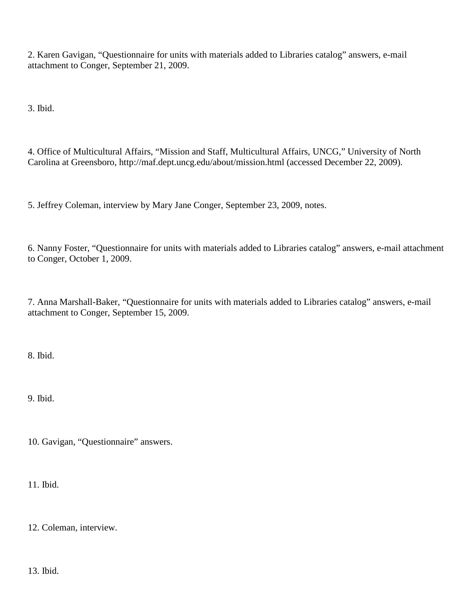2. Karen Gavigan, "Questionnaire for units with materials added to Libraries catalog" answers, e-mail attachment to Conger, September 21, 2009.

3. Ibid.

4. Office of Multicultural Affairs, "Mission and Staff, Multicultural Affairs, UNCG," University of North Carolina at Greensboro, http://maf.dept.uncg.edu/about/mission.html (accessed December 22, 2009).

5. Jeffrey Coleman, interview by Mary Jane Conger, September 23, 2009, notes.

6. Nanny Foster, "Questionnaire for units with materials added to Libraries catalog" answers, e-mail attachment to Conger, October 1, 2009.

7. Anna Marshall-Baker, "Questionnaire for units with materials added to Libraries catalog" answers, e-mail attachment to Conger, September 15, 2009.

8. Ibid.

9. Ibid.

10. Gavigan, "Questionnaire" answers.

11. Ibid.

12. Coleman, interview.

13. Ibid.